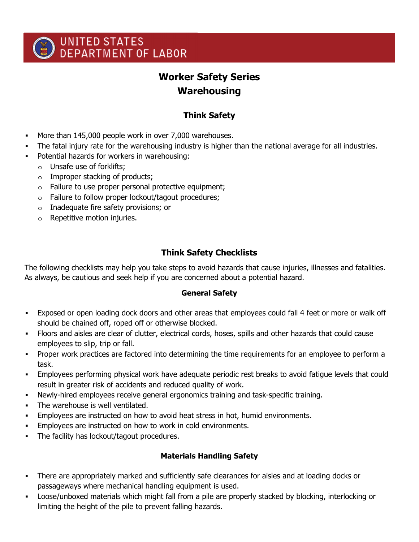UNITED STATES<br>DEPARTMENT OF LABOR

# **Worker Safety Series Warehousing**

# **Think Safety**

- More than 145,000 people work in over 7,000 warehouses.
- The fatal injury rate for the warehousing industry is higher than the national average for all industries.
- Potential hazards for workers in warehousing:
	- o Unsafe use of forklifts;
	- o Improper stacking of products;
	- o Failure to use proper personal protective equipment;
	- o Failure to follow proper lockout/tagout procedures;
	- o Inadequate fire safety provisions; or
	- o Repetitive motion injuries.

## **Think Safety Checklists**

The following checklists may help you take steps to avoid hazards that cause injuries, illnesses and fatalities. As always, be cautious and seek help if you are concerned about a potential hazard.

#### **General Safety**

- Exposed or open loading dock doors and other areas that employees could fall 4 feet or more or walk off should be chained off, roped off or otherwise blocked.
- Floors and aisles are clear of clutter, electrical cords, hoses, spills and other hazards that could cause employees to slip, trip or fall.
- Proper work practices are factored into determining the time requirements for an employee to perform a task.
- Employees performing physical work have adequate periodic rest breaks to avoid fatigue levels that could result in greater risk of accidents and reduced quality of work.
- Newly-hired employees receive general ergonomics training and task-specific training.
- The warehouse is well ventilated.
- Employees are instructed on how to avoid heat stress in hot, humid environments.
- Employees are instructed on how to work in cold environments.
- The facility has lockout/tagout procedures.

#### **Materials Handling Safety**

- There are appropriately marked and sufficiently safe clearances for aisles and at loading docks or passageways where mechanical handling equipment is used.
- Loose/unboxed materials which might fall from a pile are properly stacked by blocking, interlocking or limiting the height of the pile to prevent falling hazards.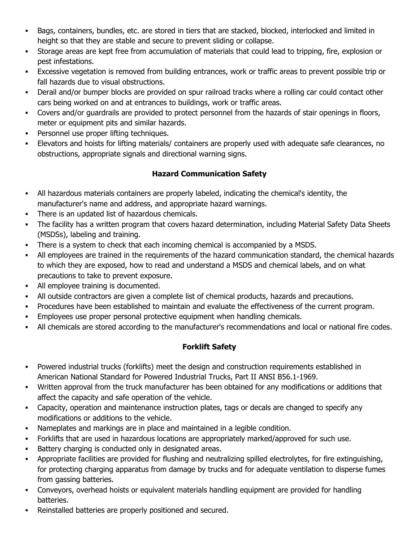- Bags, containers, bundles, etc. are stored in tiers that are stacked, blocked, interlocked and limited in height so that they are stable and secure to prevent sliding or collapse.
- Storage areas are kept free from accumulation of materials that could lead to tripping, fire, explosion or pest infestations.
- Excessive vegetation is removed from building entrances, work or traffic areas to prevent possible trip or fall hazards due to visual obstructions.
- Derail and/or bumper blocks are provided on spur railroad tracks where a rolling car could contact other cars being worked on and at entrances to buildings, work or traffic areas.
- Covers and/or guardrails are provided to protect personnel from the hazards of stair openings in floors, meter or equipment pits and similar hazards.
- **•** Personnel use proper lifting techniques.
- Elevators and hoists for lifting materials/ containers are properly used with adequate safe clearances, no obstructions, appropriate signals and directional warning signs.

## **Hazard Communication Safety**

- All hazardous materials containers are properly labeled, indicating the chemical's identity, the manufacturer's name and address, and appropriate hazard warnings.
- **There is an updated list of hazardous chemicals.**
- The facility has a written program that covers hazard determination, including Material Safety Data Sheets (MSDSs), labeling and training.
- There is a system to check that each incoming chemical is accompanied by a MSDS.
- All employees are trained in the requirements of the hazard communication standard, the chemical hazards to which they are exposed, how to read and understand a MSDS and chemical labels, and on what precautions to take to prevent exposure.
- All employee training is documented.
- All outside contractors are given a complete list of chemical products, hazards and precautions.
- Procedures have been established to maintain and evaluate the effectiveness of the current program.
- Employees use proper personal protective equipment when handling chemicals.
- All chemicals are stored according to the manufacturer's recommendations and local or national fire codes.

## **Forklift Safety**

- Powered industrial trucks (forklifts) meet the design and construction requirements established in American National Standard for Powered Industrial Trucks, Part II ANSI B56.1-1969.
- Written approval from the truck manufacturer has been obtained for any modifications or additions that affect the capacity and safe operation of the vehicle.
- Capacity, operation and maintenance instruction plates, tags or decals are changed to specify any modifications or additions to the vehicle.
- Nameplates and markings are in place and maintained in a legible condition.
- Forklifts that are used in hazardous locations are appropriately marked/approved for such use.
- Battery charging is conducted only in designated areas.
- Appropriate facilities are provided for flushing and neutralizing spilled electrolytes, for fire extinguishing, for protecting charging apparatus from damage by trucks and for adequate ventilation to disperse fumes from gassing batteries.
- Conveyors, overhead hoists or equivalent materials handling equipment are provided for handling batteries.
- Reinstalled batteries are properly positioned and secured.